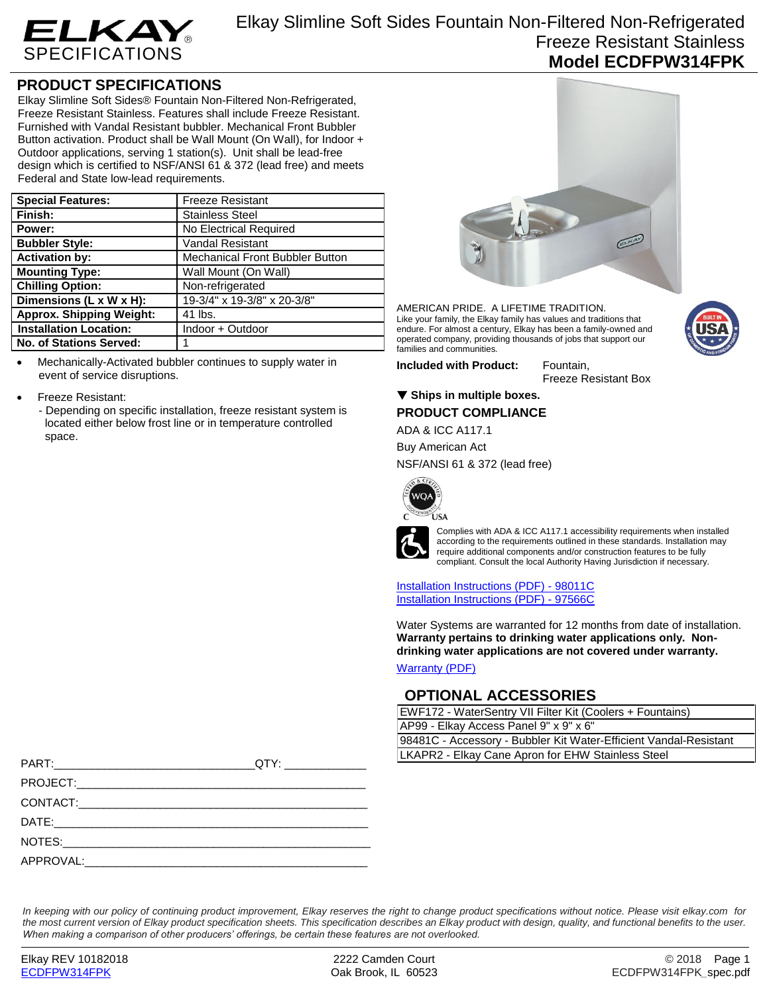

## **PRODUCT SPECIFICATIONS**

Elkay Slimline Soft Sides® Fountain Non-Filtered Non-Refrigerated, Freeze Resistant Stainless. Features shall include Freeze Resistant. Furnished with Vandal Resistant bubbler. Mechanical Front Bubbler Button activation. Product shall be Wall Mount (On Wall), for Indoor + Outdoor applications, serving 1 station(s). Unit shall be lead-free design which is certified to NSF/ANSI 61 & 372 (lead free) and meets Federal and State low-lead requirements.

| <b>Special Features:</b>        | <b>Freeze Resistant</b>                |
|---------------------------------|----------------------------------------|
| Finish:                         | <b>Stainless Steel</b>                 |
| Power:                          | No Electrical Required                 |
| <b>Bubbler Style:</b>           | <b>Vandal Resistant</b>                |
| <b>Activation by:</b>           | <b>Mechanical Front Bubbler Button</b> |
| <b>Mounting Type:</b>           | Wall Mount (On Wall)                   |
| <b>Chilling Option:</b>         | Non-refrigerated                       |
| Dimensions (L x W x H):         | 19-3/4" x 19-3/8" x 20-3/8"            |
| <b>Approx. Shipping Weight:</b> | 41 lbs.                                |
| <b>Installation Location:</b>   | Indoor + Outdoor                       |
| <b>No. of Stations Served:</b>  |                                        |

 Mechanically-Activated bubbler continues to supply water in event of service disruptions.

- Freeze Resistant:
	- Depending on specific installation, freeze resistant system is located either below frost line or in temperature controlled space.



AMERICAN PRIDE. A LIFETIME TRADITION. Like your family, the Elkay family has values and traditions that endure. For almost a century, Elkay has been a family-owned and operated company, providing thousands of jobs that support our families and communities.

**Included with Product:** Fountain,

Freeze Resistant Box

### ▼ Ships in multiple boxes.

### **PRODUCT COMPLIANCE**

ADA & ICC A117.1

Buy American Act

NSF/ANSI 61 & 372 (lead free)



Complies with ADA & ICC A117.1 accessibility requirements when installed according to the requirements outlined in these standards. Installation may require additional components and/or construction features to be fully compliant. Consult the local Authority Having Jurisdiction if necessary.

[Installation Instructions \(PDF\) -](http://www.elkay.com/wcsstore/lkdocs/care-cleaning-install-warranty-sheets/98011c.pdf) 98011[C](http://www.elkay.com/wcsstore/lkdocs/care-cleaning-install-warranty-sheets/98011c.pdf) [Installation Instructions \(PDF\) -](http://www.elkay.com/wcsstore/lkdocs/care-cleaning-install-warranty-sheets/97566c.pdf) 97566[C](http://www.elkay.com/wcsstore/lkdocs/care-cleaning-install-warranty-sheets/97566c.pdf)

Water Systems are warranted for 12 months from date of installation. **Warranty pertains to drinking water applications only. Nondrinking water applications are not covered under warranty.**

[Warranty](http://www.elkay.com/wcsstore/lkdocs/care-cleaning-install-warranty-sheets/96993c.pdf) (PDF)

### **OPTIONAL ACCESSORIES**

| EWF172 - WaterSentry VII Filter Kit (Coolers + Fountains)         |  |
|-------------------------------------------------------------------|--|
| AP99 - Elkay Access Panel 9" x 9" x 6"                            |  |
| 98481C - Accessory - Bubbler Kit Water-Efficient Vandal-Resistant |  |
| LKAPR2 - Elkay Cane Apron for EHW Stainless Steel                 |  |

| APPROVAL: |  |
|-----------|--|

*In keeping with our policy of continuing product improvement, Elkay reserves the right to change product specifications without notice. Please visit elkay.com for the most current version of Elkay product specification sheets. This specification describes an Elkay product with design, quality, and functional benefits to the user. When making a comparison of other producers' offerings, be certain these features are not overlooked.*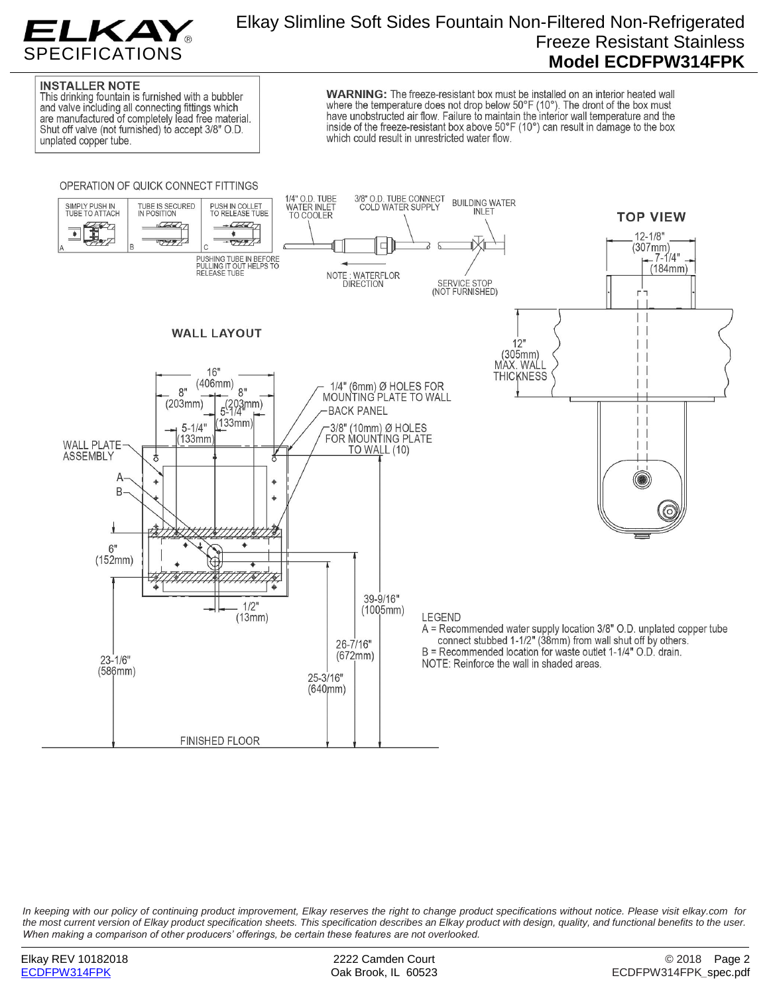

# Elkay Slimline Soft Sides Fountain Non-Filtered Non-Refrigerated Freeze Resistant Stainless **Model ECDFPW314FPK**

### **INSTALLER NOTE**

This drinking fountain is furnished with a bubbler and valve including all connecting fittings which are manufactured of completely lead free material. Shut off valve (not furnished) to accept 3/8" O.D. unplated copper tube.

**WARNING:** The freeze-resistant box must be installed on an interior heated wall where the temperature does not drop below 50°F (10°). The dront of the box must have unobstructed air flow. Failure to maintain the interior wall temperature and the inside of the freeze-resistant box above  $50^{\circ}F(10^{\circ})$  can result in damage to the box which could result in unrestricted water flow.



*In keeping with our policy of continuing product improvement, Elkay reserves the right to change product specifications without notice. Please visit elkay.com for the most current version of Elkay product specification sheets. This specification describes an Elkay product with design, quality, and functional benefits to the user. When making a comparison of other producers' offerings, be certain these features are not overlooked.*